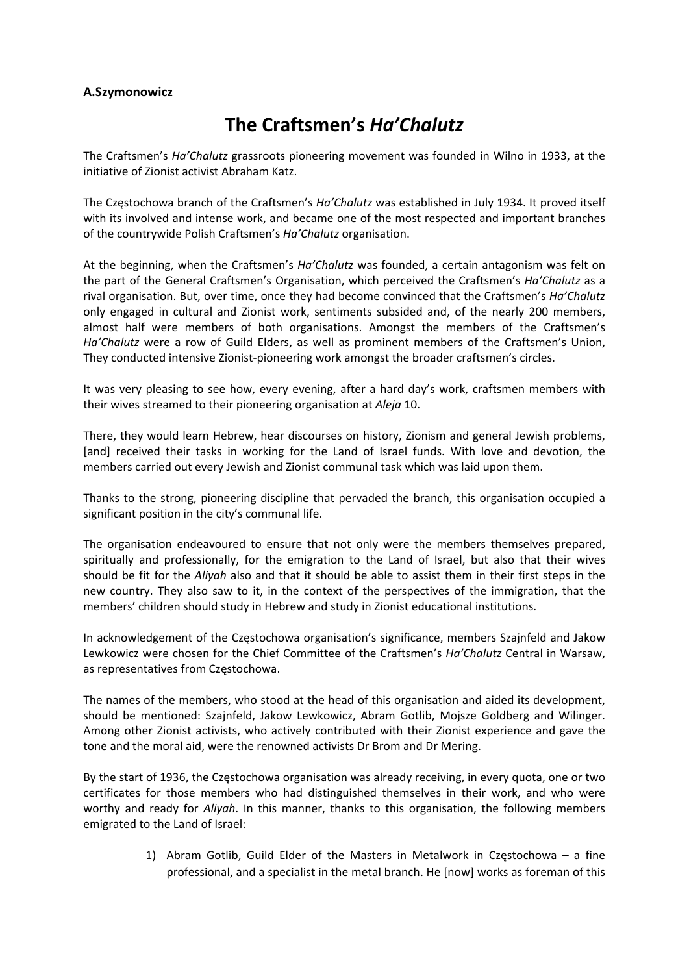## **A.Szymonowicz**

## **The Craftsmen's** *Ha'Chalutz*

The Craftsmen's *Ha'Chalutz* grassroots pioneering movement was founded in Wilno in 1933, at the initiative of Zionist activist Abraham Katz.

The Częstochowa branch of the Craftsmen's *Ha'Chalutz* was established in July 1934. It proved itself with its involved and intense work, and became one of the most respected and important branches of the countrywide Polish Craftsmen's *Ha'Chalutz* organisation.

At the beginning, when the Craftsmen's *Ha'Chalutz* was founded, a certain antagonism was felt on the part of the General Craftsmen's Organisation, which perceived the Craftsmen's *Ha'Chalutz* as a rival organisation. But, over time, once they had become convinced that the Craftsmen's *Ha'Chalutz* only engaged in cultural and Zionist work, sentiments subsided and, of the nearly 200 members, almost half were members of both organisations. Amongst the members of the Craftsmen's *Ha'Chalutz* were a row of Guild Elders, as well as prominent members of the Craftsmen's Union, They conducted intensive Zionist‐pioneering work amongst the broader craftsmen's circles.

It was very pleasing to see how, every evening, after a hard day's work, craftsmen members with their wives streamed to their pioneering organisation at *Aleja* 10.

There, they would learn Hebrew, hear discourses on history, Zionism and general Jewish problems, [and] received their tasks in working for the Land of Israel funds. With love and devotion, the members carried out every Jewish and Zionist communal task which was laid upon them.

Thanks to the strong, pioneering discipline that pervaded the branch, this organisation occupied a significant position in the city's communal life.

The organisation endeavoured to ensure that not only were the members themselves prepared, spiritually and professionally, for the emigration to the Land of Israel, but also that their wives should be fit for the *Aliyah* also and that it should be able to assist them in their first steps in the new country. They also saw to it, in the context of the perspectives of the immigration, that the members' children should study in Hebrew and study in Zionist educational institutions.

In acknowledgement of the Częstochowa organisation's significance, members Szajnfeld and Jakow Lewkowicz were chosen for the Chief Committee of the Craftsmen's *Ha'Chalutz* Central in Warsaw, as representatives from Częstochowa.

The names of the members, who stood at the head of this organisation and aided its development, should be mentioned: Szajnfeld, Jakow Lewkowicz, Abram Gotlib, Mojsze Goldberg and Wilinger. Among other Zionist activists, who actively contributed with their Zionist experience and gave the tone and the moral aid, were the renowned activists Dr Brom and Dr Mering.

By the start of 1936, the Częstochowa organisation was already receiving, in every quota, one or two certificates for those members who had distinguished themselves in their work, and who were worthy and ready for *Aliyah*. In this manner, thanks to this organisation, the following members emigrated to the Land of Israel:

> 1) Abram Gotlib, Guild Elder of the Masters in Metalwork in Częstochowa – a fine professional, and a specialist in the metal branch. He [now] works as foreman of this